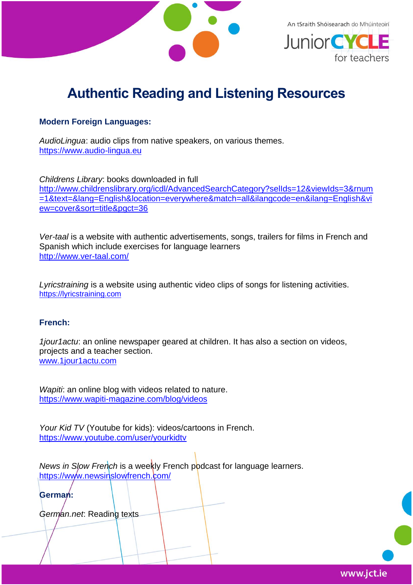

An tSraith Shóisearach do Mhúinteoirí



# **Authentic Reading and Listening Resources**

## **Modern Foreign Languages:**

*AudioLingua*: audio clips from native speakers, on various themes. [https://www.audio-lingua.eu](https://www.audio-lingua.eu/spip.php?rubrique1&lang=fr)

*Childrens Library*: books downloaded in full [http://www.childrenslibrary.org/icdl/AdvancedSearchCategory?selIds=12&viewIds=3&rnum](http://www.childrenslibrary.org/icdl/AdvancedSearchCategory?selIds=12&viewIds=3&rnum=1&text=&lang=English&location=everywhere&match=all&ilangcode=en&ilang=English&view=cover&sort=title&pgct=36) [=1&text=&lang=English&location=everywhere&match=all&ilangcode=en&ilang=English&vi](http://www.childrenslibrary.org/icdl/AdvancedSearchCategory?selIds=12&viewIds=3&rnum=1&text=&lang=English&location=everywhere&match=all&ilangcode=en&ilang=English&view=cover&sort=title&pgct=36) [ew=cover&sort=title&pgct=36](http://www.childrenslibrary.org/icdl/AdvancedSearchCategory?selIds=12&viewIds=3&rnum=1&text=&lang=English&location=everywhere&match=all&ilangcode=en&ilang=English&view=cover&sort=title&pgct=36)

*Ver-taal* is a website with authentic advertisements, songs, trailers for films in French and Spanish which include exercises for language learners <http://www.ver-taal.com/>

*Lyricstraining* is a website using authentic video clips of songs for listening activities. [https://lyricstraining.com](https://lyricstraining.com/)

### **French:**

*1jour1actu*: an online newspaper geared at children. It has also a section on videos, projects and a teacher section. [www.1jour1actu.com](http://www.1jour1actu.com/)

*Wapiti*: an online blog with videos related to nature. <https://www.wapiti-magazine.com/blog/videos>

*Your Kid TV* (Youtube for kids): videos/cartoons in French. <https://www.youtube.com/user/yourkidtv>

*News in Slow French* is a weekly French podcast for language learners. <https://www.newsinslowfrench.com/>

**German:**

*German.net*: Reading texts